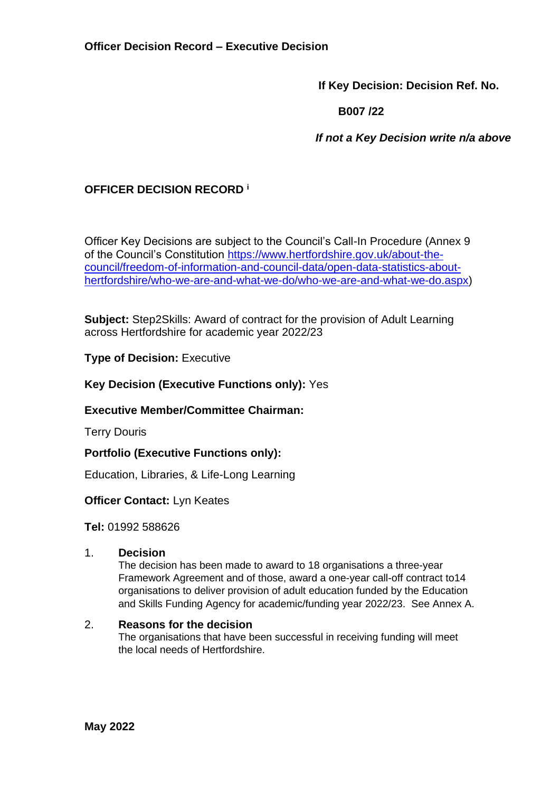**If Key Decision: Decision Ref. No.**

 **B007 /22**

 *If not a Key Decision write n/a above*

## **OFFICER DECISION RECORD <sup>i</sup>**

Officer Key Decisions are subject to the Council's Call-In Procedure (Annex 9 of the Council's Constitution [https://www.hertfordshire.gov.uk/about-the](https://www.hertfordshire.gov.uk/about-the-council/freedom-of-information-and-council-data/open-data-statistics-about-hertfordshire/who-we-are-and-what-we-do/who-we-are-and-what-we-do.aspx)[council/freedom-of-information-and-council-data/open-data-statistics-about](https://www.hertfordshire.gov.uk/about-the-council/freedom-of-information-and-council-data/open-data-statistics-about-hertfordshire/who-we-are-and-what-we-do/who-we-are-and-what-we-do.aspx)[hertfordshire/who-we-are-and-what-we-do/who-we-are-and-what-we-do.aspx\)](https://www.hertfordshire.gov.uk/about-the-council/freedom-of-information-and-council-data/open-data-statistics-about-hertfordshire/who-we-are-and-what-we-do/who-we-are-and-what-we-do.aspx)

**Subject:** Step2Skills: Award of contract for the provision of Adult Learning across Hertfordshire for academic year 2022/23

## **Type of Decision: Executive**

## **Key Decision (Executive Functions only):** Yes

## **Executive Member/Committee Chairman:**

Terry Douris

## **Portfolio (Executive Functions only):**

Education, Libraries, & Life-Long Learning

## **Officer Contact:** Lyn Keates

**Tel:** 01992 588626

#### 1. **Decision**

The decision has been made to award to 18 organisations a three-year Framework Agreement and of those, award a one-year call-off contract to14 organisations to deliver provision of adult education funded by the Education and Skills Funding Agency for academic/funding year 2022/23. See Annex A.

#### 2. **Reasons for the decision**

The organisations that have been successful in receiving funding will meet the local needs of Hertfordshire.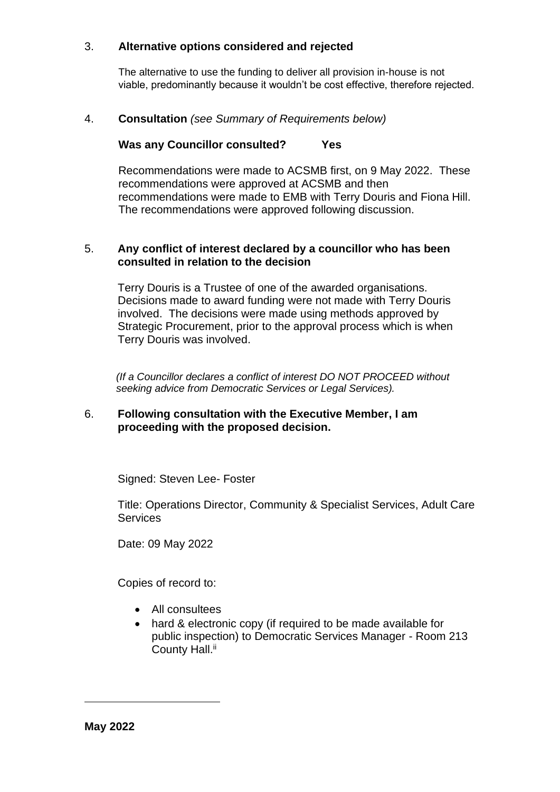## 3. **Alternative options considered and rejected**

The alternative to use the funding to deliver all provision in-house is not viable, predominantly because it wouldn't be cost effective, therefore rejected.

## 4. **Consultation** *(see Summary of Requirements below)*

## **Was any Councillor consulted? Yes**

Recommendations were made to ACSMB first, on 9 May 2022. These recommendations were approved at ACSMB and then recommendations were made to EMB with Terry Douris and Fiona Hill. The recommendations were approved following discussion.

## 5. **Any conflict of interest declared by a councillor who has been consulted in relation to the decision**

Terry Douris is a Trustee of one of the awarded organisations. Decisions made to award funding were not made with Terry Douris involved. The decisions were made using methods approved by Strategic Procurement, prior to the approval process which is when Terry Douris was involved.

 *(If a Councillor declares a conflict of interest DO NOT PROCEED without seeking advice from Democratic Services or Legal Services).*

#### 6. **Following consultation with the Executive Member, I am proceeding with the proposed decision.**

Signed: Steven Lee- Foster

Title: Operations Director, Community & Specialist Services, Adult Care **Services** 

Date: 09 May 2022

Copies of record to:

- All consultees
- hard & electronic copy (if required to be made available for public inspection) to Democratic Services Manager - Room 213 County Hall.<sup>ii</sup>